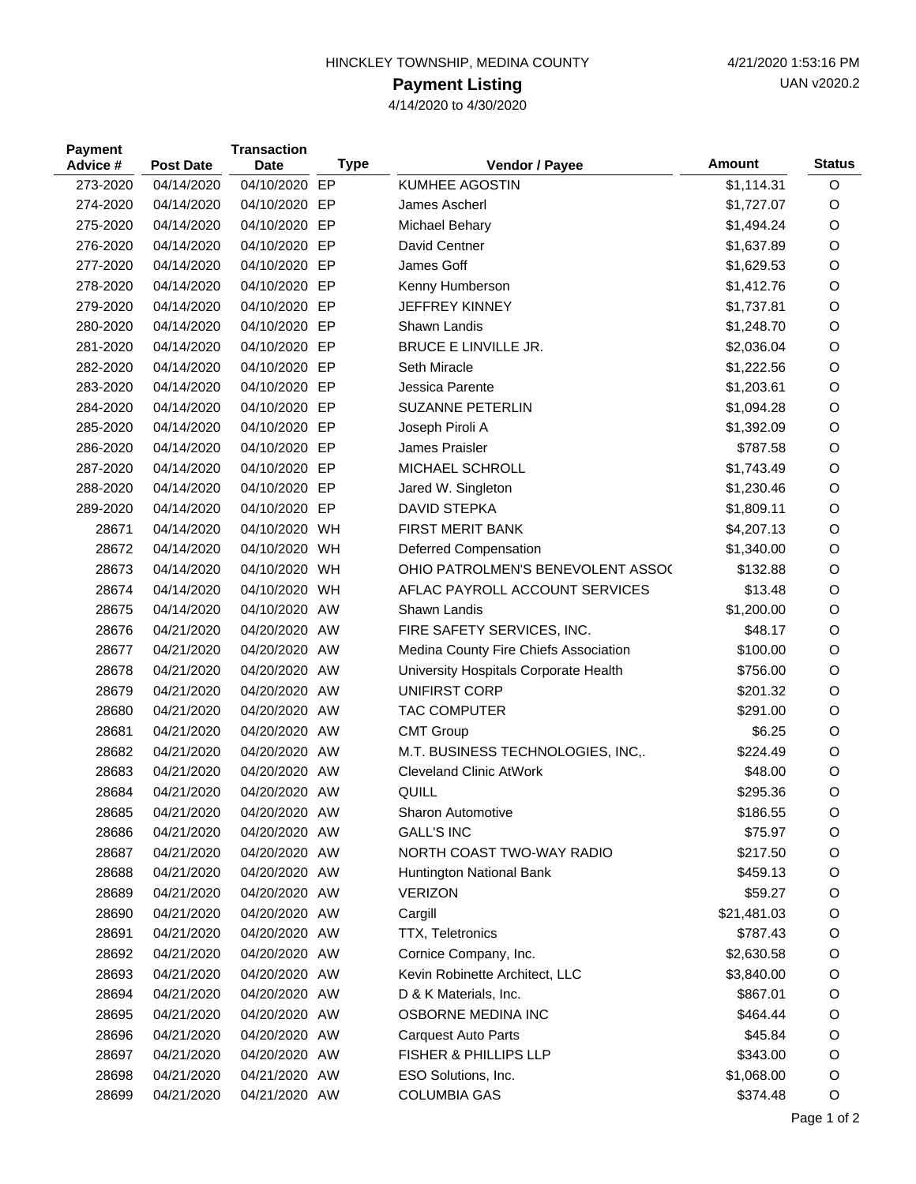## HINCKLEY TOWNSHIP, MEDINA COUNTY 4/21/2020 1:53:16 PM

## **Payment Listing**

4/14/2020 to 4/30/2020

| <b>Payment</b><br>Advice # | <b>Post Date</b> | <b>Transaction</b><br>Date | <b>Type</b> | Vendor / Payee                        | <b>Amount</b> | <b>Status</b> |
|----------------------------|------------------|----------------------------|-------------|---------------------------------------|---------------|---------------|
| 273-2020                   | 04/14/2020       | 04/10/2020                 | EP          | <b>KUMHEE AGOSTIN</b>                 | \$1,114.31    | O             |
| 274-2020                   | 04/14/2020       | 04/10/2020 EP              |             | James Ascherl                         | \$1,727.07    | O             |
| 275-2020                   | 04/14/2020       | 04/10/2020                 | EP          | Michael Behary                        | \$1,494.24    | O             |
| 276-2020                   | 04/14/2020       | 04/10/2020                 | EP          | David Centner                         | \$1,637.89    | O             |
| 277-2020                   | 04/14/2020       | 04/10/2020 EP              |             | James Goff                            | \$1,629.53    | O             |
| 278-2020                   | 04/14/2020       | 04/10/2020                 | EP          | Kenny Humberson                       | \$1,412.76    | O             |
| 279-2020                   | 04/14/2020       | 04/10/2020 EP              |             | <b>JEFFREY KINNEY</b>                 | \$1,737.81    | O             |
| 280-2020                   | 04/14/2020       | 04/10/2020                 | EP          | Shawn Landis                          | \$1,248.70    | O             |
| 281-2020                   | 04/14/2020       | 04/10/2020 EP              |             | <b>BRUCE E LINVILLE JR.</b>           | \$2,036.04    | O             |
| 282-2020                   | 04/14/2020       | 04/10/2020 EP              |             | Seth Miracle                          | \$1,222.56    | O             |
| 283-2020                   | 04/14/2020       | 04/10/2020                 | EP          | Jessica Parente                       | \$1,203.61    | O             |
| 284-2020                   | 04/14/2020       | 04/10/2020                 | EP          | SUZANNE PETERLIN                      | \$1,094.28    | O             |
| 285-2020                   | 04/14/2020       | 04/10/2020 EP              |             | Joseph Piroli A                       | \$1,392.09    | O             |
| 286-2020                   | 04/14/2020       | 04/10/2020                 | EP          | James Praisler                        | \$787.58      | O             |
| 287-2020                   | 04/14/2020       | 04/10/2020 EP              |             | <b>MICHAEL SCHROLL</b>                | \$1,743.49    | O             |
| 288-2020                   | 04/14/2020       | 04/10/2020                 | EP          | Jared W. Singleton                    | \$1,230.46    | O             |
| 289-2020                   | 04/14/2020       | 04/10/2020 EP              |             | <b>DAVID STEPKA</b>                   | \$1,809.11    | O             |
| 28671                      | 04/14/2020       | 04/10/2020                 | WH          | <b>FIRST MERIT BANK</b>               | \$4,207.13    | O             |
| 28672                      | 04/14/2020       | 04/10/2020 WH              |             | Deferred Compensation                 | \$1,340.00    | O             |
| 28673                      | 04/14/2020       | 04/10/2020                 | WH          | OHIO PATROLMEN'S BENEVOLENT ASSO(     | \$132.88      | O             |
| 28674                      | 04/14/2020       | 04/10/2020 WH              |             | AFLAC PAYROLL ACCOUNT SERVICES        | \$13.48       | O             |
| 28675                      | 04/14/2020       | 04/10/2020 AW              |             | Shawn Landis                          | \$1,200.00    | O             |
| 28676                      | 04/21/2020       | 04/20/2020 AW              |             | FIRE SAFETY SERVICES, INC.            | \$48.17       | O             |
| 28677                      | 04/21/2020       | 04/20/2020                 | AW          | Medina County Fire Chiefs Association | \$100.00      | O             |
| 28678                      | 04/21/2020       | 04/20/2020 AW              |             | University Hospitals Corporate Health | \$756.00      | O             |
| 28679                      | 04/21/2020       | 04/20/2020                 | AW          | UNIFIRST CORP                         | \$201.32      | $\circ$       |
| 28680                      | 04/21/2020       | 04/20/2020 AW              |             | <b>TAC COMPUTER</b>                   | \$291.00      | O             |
| 28681                      | 04/21/2020       | 04/20/2020 AW              |             | <b>CMT Group</b>                      | \$6.25        | O             |
| 28682                      | 04/21/2020       | 04/20/2020 AW              |             | M.T. BUSINESS TECHNOLOGIES, INC,.     | \$224.49      | O             |
| 28683                      | 04/21/2020       | 04/20/2020                 | AW          | <b>Cleveland Clinic AtWork</b>        | \$48.00       | $\circ$       |
| 28684                      | 04/21/2020       | 04/20/2020 AW              |             | QUILL                                 | \$295.36      | O             |
| 28685                      | 04/21/2020       | 04/20/2020 AW              |             | <b>Sharon Automotive</b>              | \$186.55      | O             |
| 28686                      | 04/21/2020       | 04/20/2020 AW              |             | <b>GALL'S INC</b>                     | \$75.97       | O             |
| 28687                      | 04/21/2020       | 04/20/2020 AW              |             | NORTH COAST TWO-WAY RADIO             | \$217.50      | $\circ$       |
| 28688                      | 04/21/2020       | 04/20/2020 AW              |             | Huntington National Bank              | \$459.13      | $\circ$       |
| 28689                      | 04/21/2020       | 04/20/2020 AW              |             | <b>VERIZON</b>                        | \$59.27       | $\circ$       |
| 28690                      | 04/21/2020       | 04/20/2020 AW              |             | Cargill                               | \$21,481.03   | $\circ$       |
| 28691                      | 04/21/2020       | 04/20/2020 AW              |             | TTX, Teletronics                      | \$787.43      | $\circ$       |
| 28692                      | 04/21/2020       | 04/20/2020 AW              |             | Cornice Company, Inc.                 | \$2,630.58    | O             |
| 28693                      | 04/21/2020       | 04/20/2020 AW              |             | Kevin Robinette Architect, LLC        | \$3,840.00    | O             |
| 28694                      | 04/21/2020       | 04/20/2020 AW              |             | D & K Materials, Inc.                 | \$867.01      | $\circ$       |
| 28695                      | 04/21/2020       | 04/20/2020 AW              |             | OSBORNE MEDINA INC                    | \$464.44      | $\circ$       |
| 28696                      | 04/21/2020       | 04/20/2020 AW              |             | <b>Carquest Auto Parts</b>            | \$45.84       | O             |
| 28697                      | 04/21/2020       | 04/20/2020 AW              |             | FISHER & PHILLIPS LLP                 | \$343.00      | O             |
| 28698                      | 04/21/2020       | 04/21/2020 AW              |             | ESO Solutions, Inc.                   | \$1,068.00    | $\circ$       |
| 28699                      | 04/21/2020       | 04/21/2020 AW              |             | <b>COLUMBIA GAS</b>                   | \$374.48      | O             |